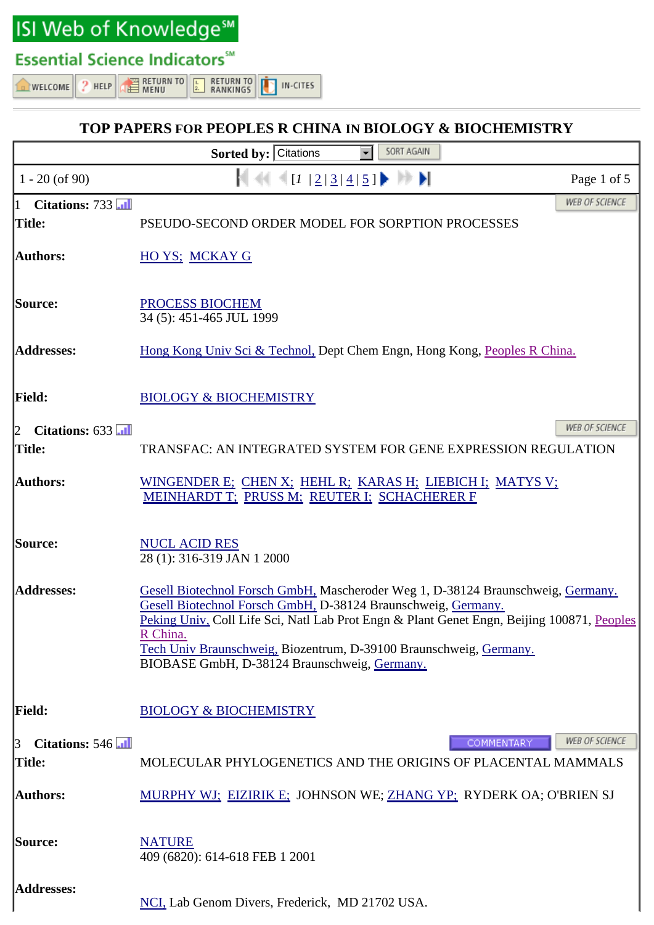ISI Web of Knowledge<sup>sM</sup>

## **Essential Science Indicators**<sup>5M</sup>

 $2$  HELP **NELCOME** 

**EXECUTED**  $\begin{array}{|c|c|}\n\hline\nL & \text{REURN TO} \\
\hline\n2. & \text{RANKINGS}\n\end{array}$ IN-CITES

## **TOP PAPERS FOR PEOPLES R CHINA IN BIOLOGY & BIOCHEMISTRY**

|                                          | SORT AGAIN<br>Sorted by: Citations                                                                                                                                                                                                                                                                                                                                                |
|------------------------------------------|-----------------------------------------------------------------------------------------------------------------------------------------------------------------------------------------------------------------------------------------------------------------------------------------------------------------------------------------------------------------------------------|
| $1 - 20$ (of 90)                         | [1   2   3   4   5]<br>Page 1 of 5                                                                                                                                                                                                                                                                                                                                                |
| Citations: 733<br>$\mathbf{1}$<br>Title: | WEB OF SCIENCE<br>PSEUDO-SECOND ORDER MODEL FOR SORPTION PROCESSES                                                                                                                                                                                                                                                                                                                |
| <b>Authors:</b>                          | <b>HO YS: MCKAY G</b>                                                                                                                                                                                                                                                                                                                                                             |
| Source:                                  | <b>PROCESS BIOCHEM</b><br>34 (5): 451-465 JUL 1999                                                                                                                                                                                                                                                                                                                                |
| <b>Addresses:</b>                        | Hong Kong Univ Sci & Technol, Dept Chem Engn, Hong Kong, Peoples R China.                                                                                                                                                                                                                                                                                                         |
| <b>Field:</b>                            | <b>BIOLOGY &amp; BIOCHEMISTRY</b>                                                                                                                                                                                                                                                                                                                                                 |
| Citations: 633<br>$ 2\rangle$<br>Title:  | <b>WEB OF SCIENCE</b><br>TRANSFAC: AN INTEGRATED SYSTEM FOR GENE EXPRESSION REGULATION                                                                                                                                                                                                                                                                                            |
| <b>Authors:</b>                          | WINGENDER E; CHEN X; HEHL R; KARAS H; LIEBICH I; MATYS V;<br>MEINHARDT T; PRUSS M; REUTER I; SCHACHERER F                                                                                                                                                                                                                                                                         |
| Source:                                  | <b>NUCL ACID RES</b><br>28 (1): 316-319 JAN 1 2000                                                                                                                                                                                                                                                                                                                                |
| <b>Addresses:</b>                        | Gesell Biotechnol Forsch GmbH, Mascheroder Weg 1, D-38124 Braunschweig, Germany.<br>Gesell Biotechnol Forsch GmbH, D-38124 Braunschweig, Germany.<br>Peking Univ, Coll Life Sci, Natl Lab Prot Engn & Plant Genet Engn, Beijing 100871, Peoples<br>R China.<br>Tech Univ Braunschweig, Biozentrum, D-39100 Braunschweig, Germany.<br>BIOBASE GmbH, D-38124 Braunschweig, Germany. |
| <b>Field:</b>                            | <b>BIOLOGY &amp; BIOCHEMISTRY</b>                                                                                                                                                                                                                                                                                                                                                 |
| Citations: 546<br>13<br>Title:           | <b>WEB OF SCIENCE</b><br><b>COMMENTARY</b><br>MOLECULAR PHYLOGENETICS AND THE ORIGINS OF PLACENTAL MAMMALS                                                                                                                                                                                                                                                                        |
| Authors:                                 | MURPHY WJ: EIZIRIK E: JOHNSON WE; ZHANG YP: RYDERK OA; O'BRIEN SJ                                                                                                                                                                                                                                                                                                                 |
| <b>Source:</b>                           | <b>NATURE</b><br>409 (6820): 614-618 FEB 1 2001                                                                                                                                                                                                                                                                                                                                   |
| <b>Addresses:</b>                        | NCI, Lab Genom Divers, Frederick, MD 21702 USA.                                                                                                                                                                                                                                                                                                                                   |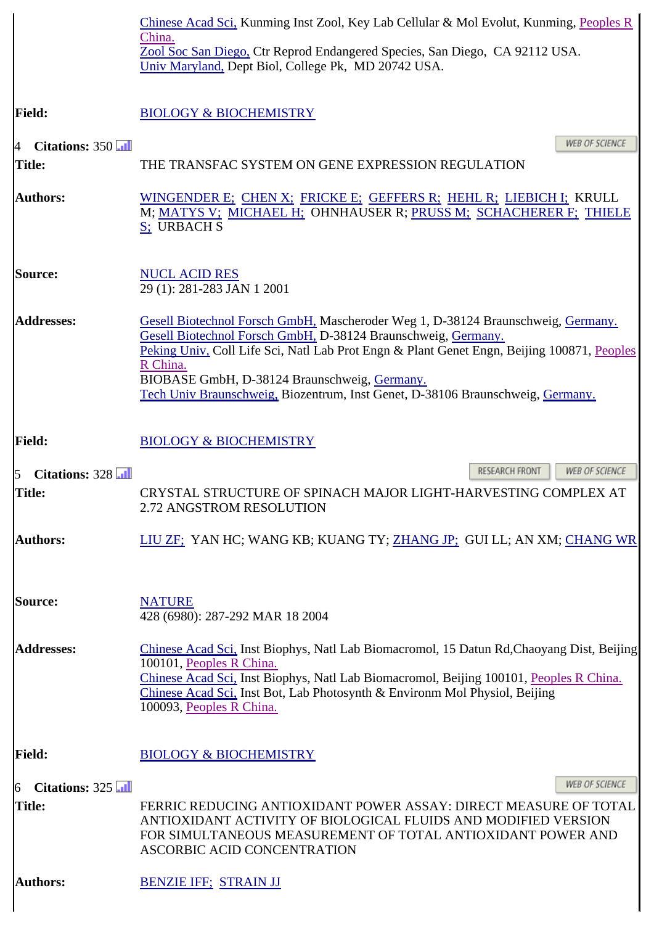|                                            | Chinese Acad Sci, Kunming Inst Zool, Key Lab Cellular & Mol Evolut, Kunming, Peoples R                                                                                                                                                                                                                                                                                                        |
|--------------------------------------------|-----------------------------------------------------------------------------------------------------------------------------------------------------------------------------------------------------------------------------------------------------------------------------------------------------------------------------------------------------------------------------------------------|
|                                            | China.<br>Zool Soc San Diego, Ctr Reprod Endangered Species, San Diego, CA 92112 USA.<br>Univ Maryland, Dept Biol, College Pk, MD 20742 USA.                                                                                                                                                                                                                                                  |
| <b>Field:</b>                              | <b>BIOLOGY &amp; BIOCHEMISTRY</b>                                                                                                                                                                                                                                                                                                                                                             |
| Citations: 350<br>$\overline{A}$<br>Title: | <b>WEB OF SCIENCE</b><br>THE TRANSFAC SYSTEM ON GENE EXPRESSION REGULATION                                                                                                                                                                                                                                                                                                                    |
| <b>Authors:</b>                            | WINGENDER E; CHEN X; FRICKE E; GEFFERS R; HEHL R; LIEBICH I; KRULL<br>M; MATYS V; MICHAEL H; OHNHAUSER R; PRUSS M; SCHACHERER F; THIELE<br>S; URBACH S                                                                                                                                                                                                                                        |
| <b>Source:</b>                             | <b>NUCL ACID RES</b><br>29 (1): 281-283 JAN 1 2001                                                                                                                                                                                                                                                                                                                                            |
| <b>Addresses:</b>                          | Gesell Biotechnol Forsch GmbH, Mascheroder Weg 1, D-38124 Braunschweig, Germany.<br>Gesell Biotechnol Forsch GmbH, D-38124 Braunschweig, Germany.<br>Peking Univ, Coll Life Sci, Natl Lab Prot Engn & Plant Genet Engn, Beijing 100871, Peoples<br>R China.<br>BIOBASE GmbH, D-38124 Braunschweig, Germany.<br>Tech Univ Braunschweig, Biozentrum, Inst Genet, D-38106 Braunschweig, Germany. |
| <b>Field:</b>                              | <b>BIOLOGY &amp; BIOCHEMISTRY</b>                                                                                                                                                                                                                                                                                                                                                             |
| Citations: 328<br>15                       | RESEARCH FRONT<br>WEB OF SCIENCE                                                                                                                                                                                                                                                                                                                                                              |
| Title:                                     | CRYSTAL STRUCTURE OF SPINACH MAJOR LIGHT-HARVESTING COMPLEX AT<br>2.72 ANGSTROM RESOLUTION                                                                                                                                                                                                                                                                                                    |
| <b>Authors:</b>                            | LIU ZF; YAN HC; WANG KB; KUANG TY; ZHANG JP; GUI LL; AN XM; CHANG WR                                                                                                                                                                                                                                                                                                                          |
| Source:                                    | <b>NATURE</b><br>428 (6980): 287-292 MAR 18 2004                                                                                                                                                                                                                                                                                                                                              |
| <b>Addresses:</b>                          | Chinese Acad Sci, Inst Biophys, Natl Lab Biomacromol, 15 Datun Rd, Chaoyang Dist, Beijing<br>100101, Peoples R China.<br>Chinese Acad Sci, Inst Biophys, Natl Lab Biomacromol, Beijing 100101, Peoples R China.<br>Chinese Acad Sci, Inst Bot, Lab Photosynth & Environm Mol Physiol, Beijing<br>100093, Peoples R China.                                                                     |
| <b>Field:</b>                              | <b>BIOLOGY &amp; BIOCHEMISTRY</b>                                                                                                                                                                                                                                                                                                                                                             |
| Citations: 325<br>$\overline{6}$           | <b>WEB OF SCIENCE</b>                                                                                                                                                                                                                                                                                                                                                                         |
| Title:                                     | FERRIC REDUCING ANTIOXIDANT POWER ASSAY: DIRECT MEASURE OF TOTAL<br>ANTIOXIDANT ACTIVITY OF BIOLOGICAL FLUIDS AND MODIFIED VERSION<br>FOR SIMULTANEOUS MEASUREMENT OF TOTAL ANTIOXIDANT POWER AND<br>ASCORBIC ACID CONCENTRATION                                                                                                                                                              |
| <b>Authors:</b>                            | <b>BENZIE IFF: STRAIN JJ</b>                                                                                                                                                                                                                                                                                                                                                                  |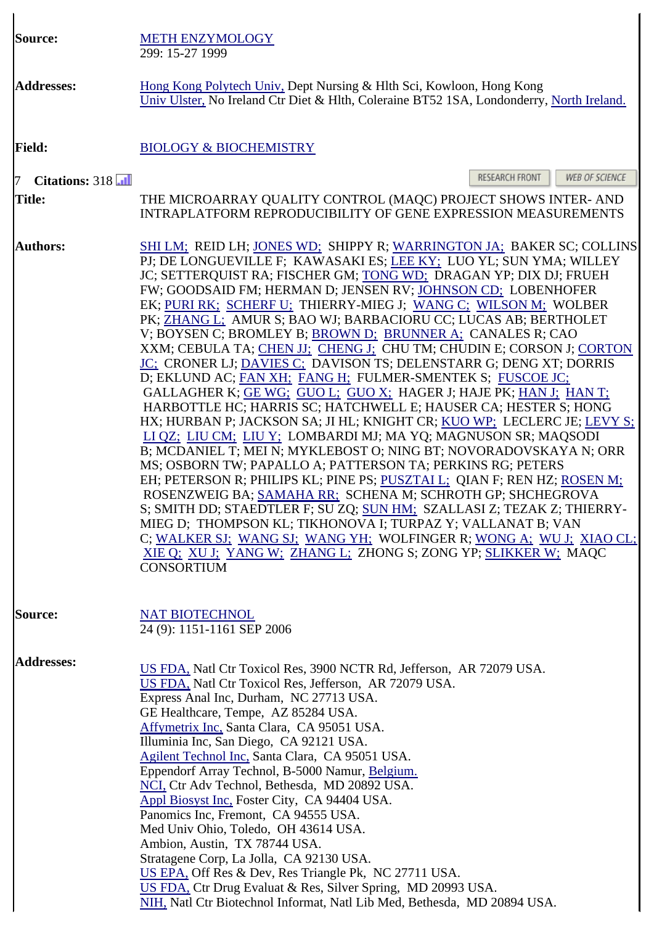| <b>Source:</b>                  | <b>METH ENZYMOLOGY</b><br>299: 15-27 1999                                                                                                                                                                                                                                                                                                                                                                                                                                                                                                                                                                                                                                                                                                                                                                                                                                                                                                                                                                                                                                                                                                                                                                                                                                                                                                                                                                                                                                                                                                                                  |
|---------------------------------|----------------------------------------------------------------------------------------------------------------------------------------------------------------------------------------------------------------------------------------------------------------------------------------------------------------------------------------------------------------------------------------------------------------------------------------------------------------------------------------------------------------------------------------------------------------------------------------------------------------------------------------------------------------------------------------------------------------------------------------------------------------------------------------------------------------------------------------------------------------------------------------------------------------------------------------------------------------------------------------------------------------------------------------------------------------------------------------------------------------------------------------------------------------------------------------------------------------------------------------------------------------------------------------------------------------------------------------------------------------------------------------------------------------------------------------------------------------------------------------------------------------------------------------------------------------------------|
| <b>Addresses:</b>               | Hong Kong Polytech Univ, Dept Nursing & Hlth Sci, Kowloon, Hong Kong<br>Univ Ulster, No Ireland Ctr Diet & Hlth, Coleraine BT52 1SA, Londonderry, North Ireland.                                                                                                                                                                                                                                                                                                                                                                                                                                                                                                                                                                                                                                                                                                                                                                                                                                                                                                                                                                                                                                                                                                                                                                                                                                                                                                                                                                                                           |
| <b>Field:</b>                   | <b>BIOLOGY &amp; BIOCHEMISTRY</b>                                                                                                                                                                                                                                                                                                                                                                                                                                                                                                                                                                                                                                                                                                                                                                                                                                                                                                                                                                                                                                                                                                                                                                                                                                                                                                                                                                                                                                                                                                                                          |
| $\mathcal{T}$<br>Citations: 318 | RESEARCH FRONT<br>WEB OF SCIENCE                                                                                                                                                                                                                                                                                                                                                                                                                                                                                                                                                                                                                                                                                                                                                                                                                                                                                                                                                                                                                                                                                                                                                                                                                                                                                                                                                                                                                                                                                                                                           |
| <b>Title:</b>                   | THE MICROARRAY QUALITY CONTROL (MAQC) PROJECT SHOWS INTER- AND<br><b>INTRAPLATFORM REPRODUCIBILITY OF GENE EXPRESSION MEASUREMENTS</b>                                                                                                                                                                                                                                                                                                                                                                                                                                                                                                                                                                                                                                                                                                                                                                                                                                                                                                                                                                                                                                                                                                                                                                                                                                                                                                                                                                                                                                     |
| <b>Authors:</b>                 | SHI LM; REID LH; JONES WD; SHIPPY R; WARRINGTON JA; BAKER SC; COLLINS<br>PJ; DE LONGUEVILLE F; KAWASAKI ES; LEE KY; LUO YL; SUN YMA; WILLEY<br>JC; SETTERQUIST RA; FISCHER GM; TONG WD; DRAGAN YP; DIX DJ; FRUEH<br>FW; GOODSAID FM; HERMAN D; JENSEN RV; JOHNSON CD; LOBENHOFER<br>EK; PURI RK; SCHERF U; THIERRY-MIEG J; WANG C; WILSON M; WOLBER<br>PK; ZHANG L; AMUR S; BAO WJ; BARBACIORU CC; LUCAS AB; BERTHOLET<br>V; BOYSEN C; BROMLEY B; BROWN D; BRUNNER A; CANALES R; CAO<br>XXM; CEBULA TA; CHEN JJ; CHENG J; CHU TM; CHUDIN E; CORSON J; CORTON<br>JC; CRONER LJ; DAVIES C; DAVISON TS; DELENSTARR G; DENG XT; DORRIS<br>D; EKLUND AC; FAN XH; FANG H; FULMER-SMENTEK S; FUSCOE JC;<br>GALLAGHER K; GE WG; GUO L; GUO X; HAGER J; HAJE PK; HAN J; HAN T;<br>HARBOTTLE HC; HARRIS SC; HATCHWELL E; HAUSER CA; HESTER S; HONG<br>HX; HURBAN P; JACKSON SA; JI HL; KNIGHT CR; KUO WP; LECLERC JE; LEVY S;<br>LI QZ; LIU CM; LIU Y; LOMBARDI MJ; MA YQ; MAGNUSON SR; MAQSODI<br>B; MCDANIEL T; MEI N; MYKLEBOST O; NING BT; NOVORADOVSKAYA N; ORR<br>MS; OSBORN TW; PAPALLO A; PATTERSON TA; PERKINS RG; PETERS<br>EH; PETERSON R; PHILIPS KL; PINE PS; PUSZTAI L; QIAN F; REN HZ; ROSEN M;<br>ROSENZWEIG BA; SAMAHA RR; SCHENA M; SCHROTH GP; SHCHEGROVA<br>S; SMITH DD; STAEDTLER F; SU ZQ; SUN HM; SZALLASI Z; TEZAK Z; THIERRY-<br>MIEG D; THOMPSON KL; TIKHONOVA I; TURPAZ Y; VALLANAT B; VAN<br>C; WALKER SJ; WANG SJ; WANG YH; WOLFINGER R; WONG A; WU J; XIAO CL;<br>XIE Q; XU J; YANG W; ZHANG L; ZHONG S; ZONG YP; SLIKKER W; MAQC<br><b>CONSORTIUM</b> |
| <b>Source:</b>                  | <b>NAT BIOTECHNOL</b><br>24 (9): 1151-1161 SEP 2006                                                                                                                                                                                                                                                                                                                                                                                                                                                                                                                                                                                                                                                                                                                                                                                                                                                                                                                                                                                                                                                                                                                                                                                                                                                                                                                                                                                                                                                                                                                        |
| <b>Addresses:</b>               | US FDA, Natl Ctr Toxicol Res, 3900 NCTR Rd, Jefferson, AR 72079 USA.<br>US FDA, Natl Ctr Toxicol Res, Jefferson, AR 72079 USA.<br>Express Anal Inc, Durham, NC 27713 USA.<br>GE Healthcare, Tempe, AZ 85284 USA.<br>Affymetrix Inc, Santa Clara, CA 95051 USA.<br>Illuminia Inc, San Diego, CA 92121 USA.<br>Agilent Technol Inc, Santa Clara, CA 95051 USA.<br>Eppendorf Array Technol, B-5000 Namur, Belgium.<br>NCI, Ctr Adv Technol, Bethesda, MD 20892 USA.<br>Appl Biosyst Inc, Foster City, CA 94404 USA.<br>Panomics Inc, Fremont, CA 94555 USA.<br>Med Univ Ohio, Toledo, OH 43614 USA.<br>Ambion, Austin, TX 78744 USA.<br>Stratagene Corp, La Jolla, CA 92130 USA.<br>US EPA, Off Res & Dev, Res Triangle Pk, NC 27711 USA.<br>US FDA, Ctr Drug Evaluat & Res, Silver Spring, MD 20993 USA.<br>NIH, Natl Ctr Biotechnol Informat, Natl Lib Med, Bethesda, MD 20894 USA.                                                                                                                                                                                                                                                                                                                                                                                                                                                                                                                                                                                                                                                                                         |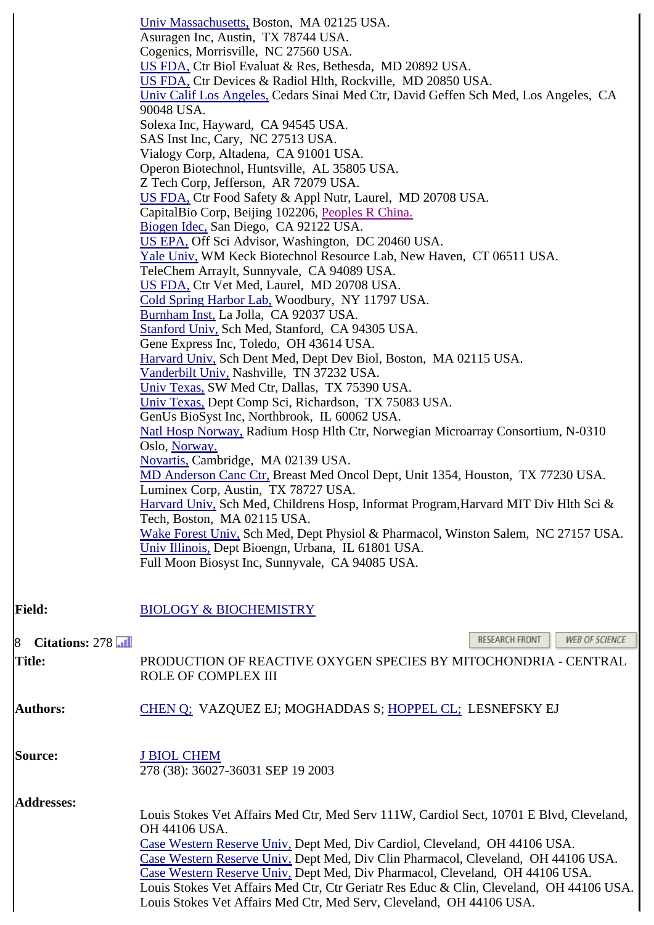|                     | Univ Massachusetts, Boston, MA 02125 USA.                                               |
|---------------------|-----------------------------------------------------------------------------------------|
|                     | Asuragen Inc, Austin, TX 78744 USA.                                                     |
|                     | Cogenics, Morrisville, NC 27560 USA.                                                    |
|                     | US FDA, Ctr Biol Evaluat & Res, Bethesda, MD 20892 USA.                                 |
|                     | US FDA, Ctr Devices & Radiol Hlth, Rockville, MD 20850 USA.                             |
|                     | Univ Calif Los Angeles, Cedars Sinai Med Ctr, David Geffen Sch Med, Los Angeles, CA     |
|                     | 90048 USA.                                                                              |
|                     | Solexa Inc, Hayward, CA 94545 USA.                                                      |
|                     | SAS Inst Inc, Cary, NC 27513 USA.                                                       |
|                     | Vialogy Corp, Altadena, CA 91001 USA.                                                   |
|                     | Operon Biotechnol, Huntsville, AL 35805 USA.                                            |
|                     | Z Tech Corp, Jefferson, AR 72079 USA.                                                   |
|                     | US FDA, Ctr Food Safety & Appl Nutr, Laurel, MD 20708 USA.                              |
|                     | CapitalBio Corp, Beijing 102206, Peoples R China.                                       |
|                     |                                                                                         |
|                     | Biogen Idec, San Diego, CA 92122 USA.                                                   |
|                     | US EPA, Off Sci Advisor, Washington, DC 20460 USA.                                      |
|                     | Yale Univ, WM Keck Biotechnol Resource Lab, New Haven, CT 06511 USA.                    |
|                     | TeleChem Arraylt, Sunnyvale, CA 94089 USA.                                              |
|                     | US FDA, Ctr Vet Med, Laurel, MD 20708 USA.                                              |
|                     | Cold Spring Harbor Lab, Woodbury, NY 11797 USA.                                         |
|                     | Burnham Inst, La Jolla, CA 92037 USA.                                                   |
|                     | Stanford Univ, Sch Med, Stanford, CA 94305 USA.                                         |
|                     | Gene Express Inc, Toledo, OH 43614 USA.                                                 |
|                     | Harvard Univ, Sch Dent Med, Dept Dev Biol, Boston, MA 02115 USA.                        |
|                     | Vanderbilt Univ, Nashville, TN 37232 USA.                                               |
|                     | Univ Texas, SW Med Ctr, Dallas, TX 75390 USA.                                           |
|                     | Univ Texas, Dept Comp Sci, Richardson, TX 75083 USA.                                    |
|                     | GenUs BioSyst Inc, Northbrook, IL 60062 USA.                                            |
|                     |                                                                                         |
|                     | Natl Hosp Norway, Radium Hosp Hlth Ctr, Norwegian Microarray Consortium, N-0310         |
|                     | Oslo, Norway.                                                                           |
|                     | Novartis, Cambridge, MA 02139 USA.                                                      |
|                     | MD Anderson Canc Ctr, Breast Med Oncol Dept, Unit 1354, Houston, TX 77230 USA.          |
|                     | Luminex Corp, Austin, TX 78727 USA.                                                     |
|                     | Harvard Univ, Sch Med, Childrens Hosp, Informat Program, Harvard MIT Div Hlth Sci &     |
|                     | Tech, Boston, MA 02115 USA.                                                             |
|                     | Wake Forest Univ, Sch Med, Dept Physiol & Pharmacol, Winston Salem, NC 27157 USA.       |
|                     | Univ Illinois, Dept Bioengn, Urbana, IL 61801 USA.                                      |
|                     | Full Moon Biosyst Inc, Sunnyvale, CA 94085 USA.                                         |
|                     |                                                                                         |
|                     |                                                                                         |
|                     |                                                                                         |
| <b>Field:</b>       | <b>BIOLOGY &amp; BIOCHEMISTRY</b>                                                       |
|                     |                                                                                         |
| Citations: 278<br>8 | <b>RESEARCH FRONT</b><br>WEB OF SCIENCE                                                 |
| <b>Title:</b>       | PRODUCTION OF REACTIVE OXYGEN SPECIES BY MITOCHONDRIA - CENTRAL                         |
|                     | ROLE OF COMPLEX III                                                                     |
|                     |                                                                                         |
|                     |                                                                                         |
| <b>Authors:</b>     | CHEN Q; VAZQUEZ EJ; MOGHADDAS S; HOPPEL CL; LESNEFSKY EJ                                |
|                     |                                                                                         |
|                     |                                                                                         |
| <b>Source:</b>      | <b>J BIOL CHEM</b>                                                                      |
|                     | 278 (38): 36027-36031 SEP 19 2003                                                       |
|                     |                                                                                         |
|                     |                                                                                         |
| <b>Addresses:</b>   | Louis Stokes Vet Affairs Med Ctr, Med Serv 111W, Cardiol Sect, 10701 E Blvd, Cleveland, |
|                     |                                                                                         |
|                     | OH 44106 USA.                                                                           |
|                     | Case Western Reserve Univ, Dept Med, Div Cardiol, Cleveland, OH 44106 USA.              |
|                     | Case Western Reserve Univ, Dept Med, Div Clin Pharmacol, Cleveland, OH 44106 USA.       |
|                     | Case Western Reserve Univ, Dept Med, Div Pharmacol, Cleveland, OH 44106 USA.            |
|                     | Louis Stokes Vet Affairs Med Ctr, Ctr Geriatr Res Educ & Clin, Cleveland, OH 44106 USA. |
|                     | Louis Stokes Vet Affairs Med Ctr, Med Serv, Cleveland, OH 44106 USA.                    |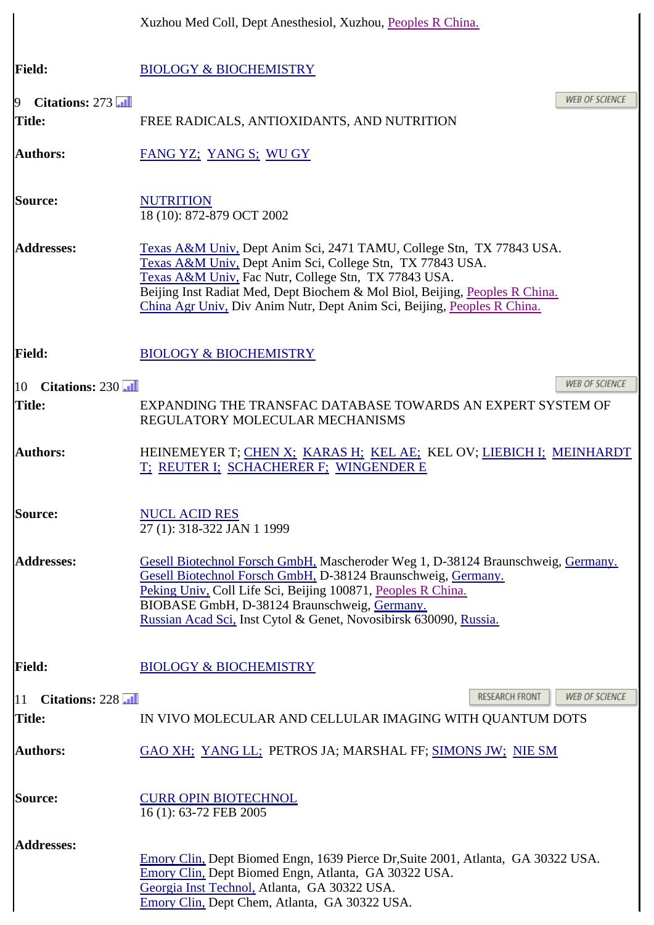|                                    | Xuzhou Med Coll, Dept Anesthesiol, Xuzhou, Peoples R China.                                                                                                                                                                                                                                                                                         |
|------------------------------------|-----------------------------------------------------------------------------------------------------------------------------------------------------------------------------------------------------------------------------------------------------------------------------------------------------------------------------------------------------|
| <b>Field:</b>                      | <b>BIOLOGY &amp; BIOCHEMISTRY</b>                                                                                                                                                                                                                                                                                                                   |
| Citations: 273<br>$\boldsymbol{9}$ | <b>WEB OF SCIENCE</b>                                                                                                                                                                                                                                                                                                                               |
| <b>Title:</b>                      | FREE RADICALS, ANTIOXIDANTS, AND NUTRITION                                                                                                                                                                                                                                                                                                          |
| Authors:                           | <u>FANG YZ; YANG S; WU GY</u>                                                                                                                                                                                                                                                                                                                       |
| Source:                            | <b>NUTRITION</b><br>18 (10): 872-879 OCT 2002                                                                                                                                                                                                                                                                                                       |
| <b>Addresses:</b>                  | Texas A&M Univ, Dept Anim Sci, 2471 TAMU, College Stn, TX 77843 USA.<br>Texas A&M Univ, Dept Anim Sci, College Stn, TX 77843 USA.<br>Texas A&M Univ, Fac Nutr, College Stn, TX 77843 USA.<br>Beijing Inst Radiat Med, Dept Biochem & Mol Biol, Beijing, Peoples R China.<br>China Agr Univ, Div Anim Nutr, Dept Anim Sci, Beijing, Peoples R China. |
| <b>Field:</b>                      | <b>BIOLOGY &amp; BIOCHEMISTRY</b>                                                                                                                                                                                                                                                                                                                   |
| Citations: 230<br>10               | <b>WEB OF SCIENCE</b>                                                                                                                                                                                                                                                                                                                               |
| <b>Title:</b>                      | EXPANDING THE TRANSFAC DATABASE TOWARDS AN EXPERT SYSTEM OF<br>REGULATORY MOLECULAR MECHANISMS                                                                                                                                                                                                                                                      |
| <b>Authors:</b>                    | HEINEMEYER T; CHEN X; KARAS H; KEL AE; KEL OV; LIEBICH I; MEINHARDT<br>T; REUTER I; SCHACHERER F; WINGENDER E                                                                                                                                                                                                                                       |
| Source:                            | <b>NUCL ACID RES</b><br>27 (1): 318-322 JAN 1 1999                                                                                                                                                                                                                                                                                                  |
| <b>Addresses:</b>                  | Gesell Biotechnol Forsch GmbH, Mascheroder Weg 1, D-38124 Braunschweig, Germany.<br>Gesell Biotechnol Forsch GmbH, D-38124 Braunschweig, Germany.<br>Peking Univ. Coll Life Sci, Beijing 100871, Peoples R China.<br>BIOBASE GmbH, D-38124 Braunschweig, Germany.<br>Russian Acad Sci, Inst Cytol & Genet, Novosibirsk 630090, Russia.              |
| <b>Field:</b>                      | <b>BIOLOGY &amp; BIOCHEMISTRY</b>                                                                                                                                                                                                                                                                                                                   |
| Citations: 228<br>$ 11\rangle$     | RESEARCH FRONT<br><b>WEB OF SCIENCE</b>                                                                                                                                                                                                                                                                                                             |
| <b>Title:</b>                      | IN VIVO MOLECULAR AND CELLULAR IMAGING WITH QUANTUM DOTS                                                                                                                                                                                                                                                                                            |
| <b>Authors:</b>                    | GAO XH; YANG LL; PETROS JA; MARSHAL FF; SIMONS JW; NIE SM                                                                                                                                                                                                                                                                                           |
| Source:                            | <b>CURR OPIN BIOTECHNOL</b><br>16 (1): 63-72 FEB 2005                                                                                                                                                                                                                                                                                               |
| <b>Addresses:</b>                  | Emory Clin, Dept Biomed Engn, 1639 Pierce Dr, Suite 2001, Atlanta, GA 30322 USA.<br>Emory Clin, Dept Biomed Engn, Atlanta, GA 30322 USA.<br>Georgia Inst Technol, Atlanta, GA 30322 USA.<br>Emory Clin, Dept Chem, Atlanta, GA 30322 USA.                                                                                                           |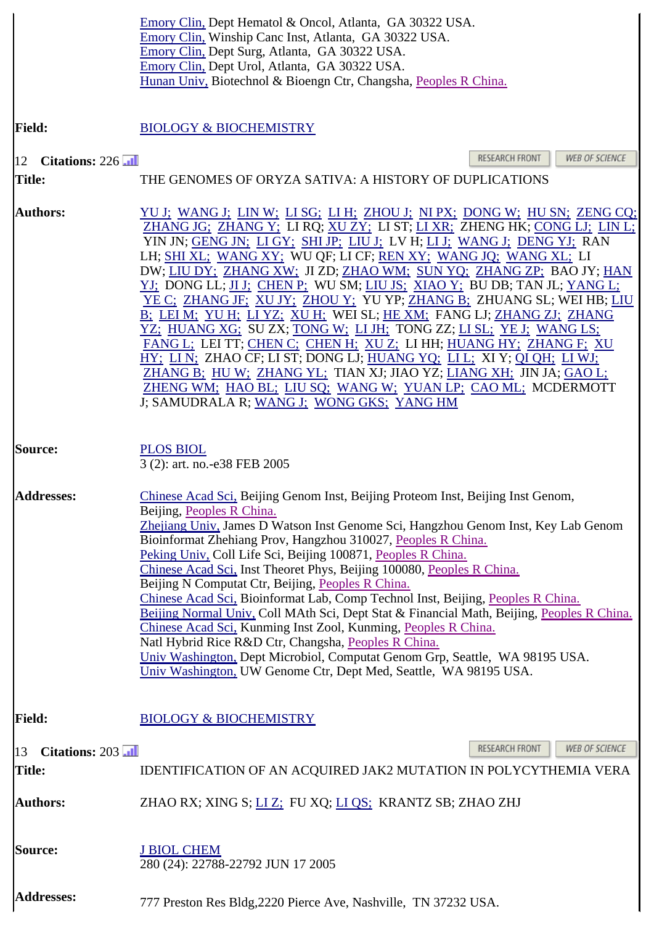|                                       | Emory Clin, Dept Hematol & Oncol, Atlanta, GA 30322 USA.<br>Emory Clin, Winship Canc Inst, Atlanta, GA 30322 USA.<br>Emory Clin, Dept Surg, Atlanta, GA 30322 USA.<br>Emory Clin, Dept Urol, Atlanta, GA 30322 USA.<br>Hunan Univ, Biotechnol & Bioengn Ctr, Changsha, Peoples R China.                                                                                                                                                                                                                                                                                                                                                                                                                                                                                                                                                                                                                                                                                                                            |
|---------------------------------------|--------------------------------------------------------------------------------------------------------------------------------------------------------------------------------------------------------------------------------------------------------------------------------------------------------------------------------------------------------------------------------------------------------------------------------------------------------------------------------------------------------------------------------------------------------------------------------------------------------------------------------------------------------------------------------------------------------------------------------------------------------------------------------------------------------------------------------------------------------------------------------------------------------------------------------------------------------------------------------------------------------------------|
| <b>Field:</b>                         | <b>BIOLOGY &amp; BIOCHEMISTRY</b>                                                                                                                                                                                                                                                                                                                                                                                                                                                                                                                                                                                                                                                                                                                                                                                                                                                                                                                                                                                  |
| 12 Citations: $226$                   | RESEARCH FRONT<br><b>WEB OF SCIENCE</b>                                                                                                                                                                                                                                                                                                                                                                                                                                                                                                                                                                                                                                                                                                                                                                                                                                                                                                                                                                            |
| <b>Title:</b>                         | THE GENOMES OF ORYZA SATIVA: A HISTORY OF DUPLICATIONS                                                                                                                                                                                                                                                                                                                                                                                                                                                                                                                                                                                                                                                                                                                                                                                                                                                                                                                                                             |
| <b>Authors:</b>                       | <u>YU J; WANG J; LIN W; LI SG; LI H; ZHOU J; NI PX; DONG W; HU SN; ZENG CQ;</u><br>ZHANG JG; ZHANG Y; LI RQ; XU ZY; LI ST; LI XR; ZHENG HK; CONG LJ; LIN L;<br>YIN JN; GENG JN; LI GY; SHI JP; LIU J; LV H; LI J; WANG J; DENG YJ; RAN<br>LH; SHI XL; WANG XY; WU QF; LI CF; REN XY; WANG JQ; WANG XL; LI<br>DW; LIU DY; ZHANG XW; JI ZD; ZHAO WM; SUN YQ; ZHANG ZP; BAO JY; HAN<br>YJ; DONG LL; JI J; CHEN P; WU SM; LIU JS; XIAO Y; BU DB; TAN JL; YANG L;<br>YE C; ZHANG JF; XU JY; ZHOU Y; YU YP; ZHANG B; ZHUANG SL; WEI HB; LIU<br>B; LEI M; YU H; LI YZ; XU H; WEI SL; HE XM; FANG LJ; ZHANG ZJ; ZHANG<br>YZ; HUANG XG; SU ZX; TONG W; LI JH; TONG ZZ; LI SL; YE J; WANG LS;<br>FANG L: LEI TT; CHEN C: CHEN H: XU Z: LI HH; HUANG HY: ZHANG F: XU<br>HY; LIN; ZHAO CF; LIST; DONG LJ; HUANG YQ; LIL; XIY; QI QH; LIWJ;<br>ZHANG B; HU W; ZHANG YL; TIAN XJ; JIAO YZ; LIANG XH; JIN JA; GAO L;<br>ZHENG WM; HAO BL; LIU SQ; WANG W; YUAN LP; CAO ML; MCDERMOTT<br>J; SAMUDRALA R; WANG J; WONG GKS; YANG HM |
| Source:                               | <b>PLOS BIOL</b><br>3 (2): art. no.-e38 FEB 2005                                                                                                                                                                                                                                                                                                                                                                                                                                                                                                                                                                                                                                                                                                                                                                                                                                                                                                                                                                   |
| <b>Addresses:</b>                     | Chinese Acad Sci, Beijing Genom Inst, Beijing Proteom Inst, Beijing Inst Genom,<br>Beijing, Peoples R China.<br>Zhejiang Univ, James D Watson Inst Genome Sci, Hangzhou Genom Inst, Key Lab Genom<br>Bioinformat Zhehiang Prov, Hangzhou 310027, Peoples R China.<br>Peking Univ, Coll Life Sci, Beijing 100871, Peoples R China.<br>Chinese Acad Sci. Inst Theoret Phys, Beijing 100080, Peoples R China.<br>Beijing N Computat Ctr, Beijing, Peoples R China.<br>Chinese Acad Sci, Bioinformat Lab, Comp Technol Inst, Beijing, Peoples R China.<br>Beijing Normal Univ, Coll MAth Sci, Dept Stat & Financial Math, Beijing, Peoples R China.<br>Chinese Acad Sci, Kunming Inst Zool, Kunming, Peoples R China.<br>Natl Hybrid Rice R&D Ctr, Changsha, Peoples R China.<br>Univ Washington, Dept Microbiol, Computat Genom Grp, Seattle, WA 98195 USA.<br>Univ Washington, UW Genome Ctr, Dept Med, Seattle, WA 98195 USA.                                                                                       |
| <b>Field:</b>                         | <b>BIOLOGY &amp; BIOCHEMISTRY</b>                                                                                                                                                                                                                                                                                                                                                                                                                                                                                                                                                                                                                                                                                                                                                                                                                                                                                                                                                                                  |
| Citations: 203<br>13<br><b>Title:</b> | <b>RESEARCH FRONT</b><br><b>WEB OF SCIENCE</b><br>IDENTIFICATION OF AN ACQUIRED JAK2 MUTATION IN POLYCYTHEMIA VERA                                                                                                                                                                                                                                                                                                                                                                                                                                                                                                                                                                                                                                                                                                                                                                                                                                                                                                 |
| <b>Authors:</b>                       | ZHAO RX; XING S; <u>LI Z;</u> FU XQ; <u>LI QS;</u> KRANTZ SB; ZHAO ZHJ                                                                                                                                                                                                                                                                                                                                                                                                                                                                                                                                                                                                                                                                                                                                                                                                                                                                                                                                             |
| Source:                               | <b>J BIOL CHEM</b><br>280 (24): 22788-22792 JUN 17 2005                                                                                                                                                                                                                                                                                                                                                                                                                                                                                                                                                                                                                                                                                                                                                                                                                                                                                                                                                            |
| <b>Addresses:</b>                     | 777 Preston Res Bldg, 2220 Pierce Ave, Nashville, TN 37232 USA.                                                                                                                                                                                                                                                                                                                                                                                                                                                                                                                                                                                                                                                                                                                                                                                                                                                                                                                                                    |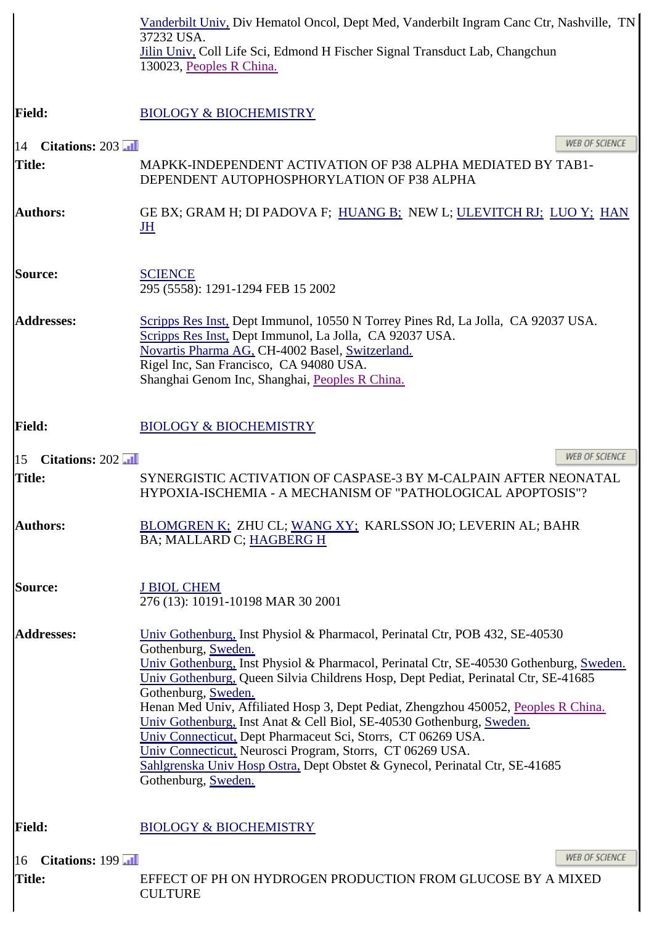|                                        | Vanderbilt Univ, Div Hematol Oncol, Dept Med, Vanderbilt Ingram Canc Ctr, Nashville, TN<br>37232 USA.<br>Jilin Univ, Coll Life Sci, Edmond H Fischer Signal Transduct Lab, Changchun<br>130023, Peoples R China.                                                                                                                                                                                                                                                                                                                                                                                                                                                                                           |
|----------------------------------------|------------------------------------------------------------------------------------------------------------------------------------------------------------------------------------------------------------------------------------------------------------------------------------------------------------------------------------------------------------------------------------------------------------------------------------------------------------------------------------------------------------------------------------------------------------------------------------------------------------------------------------------------------------------------------------------------------------|
| <b>Field:</b>                          | <b>BIOLOGY &amp; BIOCHEMISTRY</b>                                                                                                                                                                                                                                                                                                                                                                                                                                                                                                                                                                                                                                                                          |
| Citations: $203$ $\overline{11}$<br>14 | <b>WEB OF SCIENCE</b>                                                                                                                                                                                                                                                                                                                                                                                                                                                                                                                                                                                                                                                                                      |
| <b>Title:</b>                          | MAPKK-INDEPENDENT ACTIVATION OF P38 ALPHA MEDIATED BY TAB1-<br>DEPENDENT AUTOPHOSPHORYLATION OF P38 ALPHA                                                                                                                                                                                                                                                                                                                                                                                                                                                                                                                                                                                                  |
| <b>Authors:</b>                        | GE BX; GRAM H; DI PADOVA F; HUANG B; NEW L; ULEVITCH RJ; LUO Y; HAN<br>JH                                                                                                                                                                                                                                                                                                                                                                                                                                                                                                                                                                                                                                  |
| Source:                                | <b>SCIENCE</b><br>295 (5558): 1291-1294 FEB 15 2002                                                                                                                                                                                                                                                                                                                                                                                                                                                                                                                                                                                                                                                        |
| <b>Addresses:</b>                      | Scripps Res Inst, Dept Immunol, 10550 N Torrey Pines Rd, La Jolla, CA 92037 USA.<br>Scripps Res Inst, Dept Immunol, La Jolla, CA 92037 USA.<br>Novartis Pharma AG, CH-4002 Basel, Switzerland.<br>Rigel Inc, San Francisco, CA 94080 USA.<br>Shanghai Genom Inc, Shanghai, Peoples R China.                                                                                                                                                                                                                                                                                                                                                                                                                |
| <b>Field:</b>                          | <b>BIOLOGY &amp; BIOCHEMISTRY</b>                                                                                                                                                                                                                                                                                                                                                                                                                                                                                                                                                                                                                                                                          |
| Citations: 202<br>15                   | <b>WEB OF SCIENCE</b>                                                                                                                                                                                                                                                                                                                                                                                                                                                                                                                                                                                                                                                                                      |
| <b>Title:</b>                          | SYNERGISTIC ACTIVATION OF CASPASE-3 BY M-CALPAIN AFTER NEONATAL<br>HYPOXIA-ISCHEMIA - A MECHANISM OF "PATHOLOGICAL APOPTOSIS"?                                                                                                                                                                                                                                                                                                                                                                                                                                                                                                                                                                             |
| <b>Authors:</b>                        | BLOMGREN K; ZHU CL; WANG XY; KARLSSON JO; LEVERIN AL; BAHR<br>BA; MALLARD C; HAGBERG H                                                                                                                                                                                                                                                                                                                                                                                                                                                                                                                                                                                                                     |
| <b>Source:</b>                         | <b>J BIOL CHEM</b><br>276 (13): 10191-10198 MAR 30 2001                                                                                                                                                                                                                                                                                                                                                                                                                                                                                                                                                                                                                                                    |
| <b>Addresses:</b>                      | Univ Gothenburg, Inst Physiol & Pharmacol, Perinatal Ctr, POB 432, SE-40530<br>Gothenburg, Sweden.<br>Univ Gothenburg, Inst Physiol & Pharmacol, Perinatal Ctr, SE-40530 Gothenburg, Sweden.<br>Univ Gothenburg, Queen Silvia Childrens Hosp, Dept Pediat, Perinatal Ctr, SE-41685<br>Gothenburg, Sweden.<br>Henan Med Univ, Affiliated Hosp 3, Dept Pediat, Zhengzhou 450052, Peoples R China.<br>Univ Gothenburg, Inst Anat & Cell Biol, SE-40530 Gothenburg, Sweden.<br>Univ Connecticut, Dept Pharmaceut Sci, Storrs, CT 06269 USA.<br>Univ Connecticut, Neurosci Program, Storrs, CT 06269 USA.<br>Sahlgrenska Univ Hosp Ostra, Dept Obstet & Gynecol, Perinatal Ctr, SE-41685<br>Gothenburg, Sweden. |
| <b>Field:</b>                          | <b>BIOLOGY &amp; BIOCHEMISTRY</b>                                                                                                                                                                                                                                                                                                                                                                                                                                                                                                                                                                                                                                                                          |
| Citations: 199<br>16<br><b>Title:</b>  | <b>WEB OF SCIENCE</b><br>EFFECT OF PH ON HYDROGEN PRODUCTION FROM GLUCOSE BY A MIXED<br><b>CULTURE</b>                                                                                                                                                                                                                                                                                                                                                                                                                                                                                                                                                                                                     |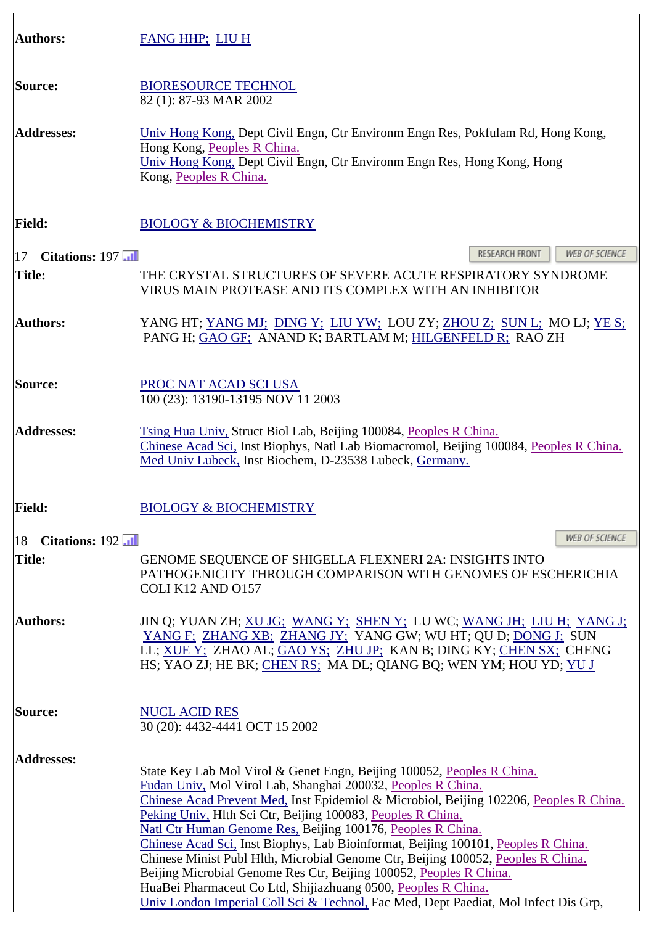| <b>Authors:</b>                    | <b>FANG HHP; LIU H</b>                                                                                                                                                                                                                                                                                                                                                                                                                                                                                                                                                                                                                                                                                                                                                |
|------------------------------------|-----------------------------------------------------------------------------------------------------------------------------------------------------------------------------------------------------------------------------------------------------------------------------------------------------------------------------------------------------------------------------------------------------------------------------------------------------------------------------------------------------------------------------------------------------------------------------------------------------------------------------------------------------------------------------------------------------------------------------------------------------------------------|
| Source:                            | <b>BIORESOURCE TECHNOL</b><br>82 (1): 87-93 MAR 2002                                                                                                                                                                                                                                                                                                                                                                                                                                                                                                                                                                                                                                                                                                                  |
| <b>Addresses:</b>                  | Univ Hong Kong, Dept Civil Engn, Ctr Environm Engn Res, Pokfulam Rd, Hong Kong,<br>Hong Kong, Peoples R China.<br>Univ Hong Kong, Dept Civil Engn, Ctr Environm Engn Res, Hong Kong, Hong<br>Kong, Peoples R China.                                                                                                                                                                                                                                                                                                                                                                                                                                                                                                                                                   |
| <b>Field:</b>                      | <b>BIOLOGY &amp; BIOCHEMISTRY</b>                                                                                                                                                                                                                                                                                                                                                                                                                                                                                                                                                                                                                                                                                                                                     |
| Citations: 197<br>$\vert 17 \vert$ | RESEARCH FRONT<br><b>WEB OF SCIENCE</b>                                                                                                                                                                                                                                                                                                                                                                                                                                                                                                                                                                                                                                                                                                                               |
| <b>Title:</b>                      | THE CRYSTAL STRUCTURES OF SEVERE ACUTE RESPIRATORY SYNDROME<br>VIRUS MAIN PROTEASE AND ITS COMPLEX WITH AN INHIBITOR                                                                                                                                                                                                                                                                                                                                                                                                                                                                                                                                                                                                                                                  |
| <b>Authors:</b>                    | YANG HT; YANG MJ; DING Y; LIU YW; LOU ZY; ZHOU Z; SUN L; MO LJ; YE S;<br>PANG H; GAO GF; ANAND K; BARTLAM M; HILGENFELD R; RAO ZH                                                                                                                                                                                                                                                                                                                                                                                                                                                                                                                                                                                                                                     |
| <b>Source:</b>                     | PROC NAT ACAD SCI USA<br>100 (23): 13190-13195 NOV 11 2003                                                                                                                                                                                                                                                                                                                                                                                                                                                                                                                                                                                                                                                                                                            |
| <b>Addresses:</b>                  | Tsing Hua Univ, Struct Biol Lab, Beijing 100084, Peoples R China.<br>Chinese Acad Sci, Inst Biophys, Natl Lab Biomacromol, Beijing 100084, Peoples R China.<br>Med Univ Lubeck, Inst Biochem, D-23538 Lubeck, Germany.                                                                                                                                                                                                                                                                                                                                                                                                                                                                                                                                                |
| <b>Field:</b>                      | <b>BIOLOGY &amp; BIOCHEMISTRY</b>                                                                                                                                                                                                                                                                                                                                                                                                                                                                                                                                                                                                                                                                                                                                     |
| Citations: 192<br>18               | <b>WEB OF SCIENCE</b>                                                                                                                                                                                                                                                                                                                                                                                                                                                                                                                                                                                                                                                                                                                                                 |
| <b>Title:</b>                      | GENOME SEQUENCE OF SHIGELLA FLEXNERI 2A: INSIGHTS INTO<br>PATHOGENICITY THROUGH COMPARISON WITH GENOMES OF ESCHERICHIA<br>COLI K12 AND O157                                                                                                                                                                                                                                                                                                                                                                                                                                                                                                                                                                                                                           |
| <b>Authors:</b>                    | JIN Q; YUAN ZH; XU JG; WANG Y; SHEN Y; LU WC; WANG JH; LIU H; YANG J;<br>YANG F; ZHANG XB; ZHANG JY; YANG GW; WU HT; QU D; DONG J; SUN<br>LL; XUE Y: ZHAO AL; GAO YS; ZHU JP; KAN B; DING KY; CHEN SX; CHENG<br>HS; YAO ZJ; HE BK; CHEN RS; MA DL; QIANG BQ; WEN YM; HOU YD; YU J                                                                                                                                                                                                                                                                                                                                                                                                                                                                                     |
| Source:                            | <b>NUCL ACID RES</b><br>30 (20): 4432-4441 OCT 15 2002                                                                                                                                                                                                                                                                                                                                                                                                                                                                                                                                                                                                                                                                                                                |
| <b>Addresses:</b>                  | State Key Lab Mol Virol & Genet Engn, Beijing 100052, Peoples R China.<br>Fudan Univ, Mol Virol Lab, Shanghai 200032, Peoples R China.<br>Chinese Acad Prevent Med. Inst Epidemiol & Microbiol, Beijing 102206, Peoples R China.<br>Peking Univ, Hlth Sci Ctr, Beijing 100083, Peoples R China.<br>Natl Ctr Human Genome Res, Beijing 100176, Peoples R China.<br>Chinese Acad Sci, Inst Biophys, Lab Bioinformat, Beijing 100101, Peoples R China.<br>Chinese Minist Publ Hlth, Microbial Genome Ctr, Beijing 100052, Peoples R China.<br>Beijing Microbial Genome Res Ctr, Beijing 100052, Peoples R China.<br>HuaBei Pharmaceut Co Ltd, Shijiazhuang 0500, Peoples R China.<br>Univ London Imperial Coll Sci & Technol, Fac Med, Dept Paediat, Mol Infect Dis Grp, |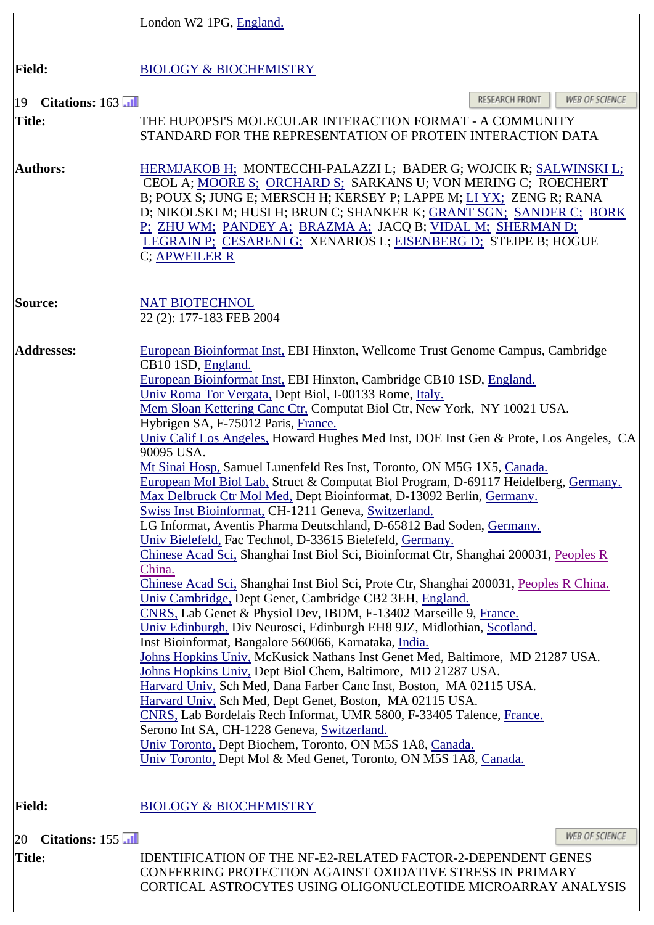|                      | London W2 1PG, England.                                                                                                                                                                                                                                                                                                                                                                                                                                                                                                                                                                                                                                                                                                                                                                                                                                                                                                                                                                                                                                                                                                                                                                                                                                                                                                                                                                                                                                                                                                                                                                                                                                                                                                                                                                                                                                                                                            |
|----------------------|--------------------------------------------------------------------------------------------------------------------------------------------------------------------------------------------------------------------------------------------------------------------------------------------------------------------------------------------------------------------------------------------------------------------------------------------------------------------------------------------------------------------------------------------------------------------------------------------------------------------------------------------------------------------------------------------------------------------------------------------------------------------------------------------------------------------------------------------------------------------------------------------------------------------------------------------------------------------------------------------------------------------------------------------------------------------------------------------------------------------------------------------------------------------------------------------------------------------------------------------------------------------------------------------------------------------------------------------------------------------------------------------------------------------------------------------------------------------------------------------------------------------------------------------------------------------------------------------------------------------------------------------------------------------------------------------------------------------------------------------------------------------------------------------------------------------------------------------------------------------------------------------------------------------|
| <b>Field:</b>        | <b>BIOLOGY &amp; BIOCHEMISTRY</b>                                                                                                                                                                                                                                                                                                                                                                                                                                                                                                                                                                                                                                                                                                                                                                                                                                                                                                                                                                                                                                                                                                                                                                                                                                                                                                                                                                                                                                                                                                                                                                                                                                                                                                                                                                                                                                                                                  |
| Citations: 163<br>19 | RESEARCH FRONT<br>WEB OF SCIENCE                                                                                                                                                                                                                                                                                                                                                                                                                                                                                                                                                                                                                                                                                                                                                                                                                                                                                                                                                                                                                                                                                                                                                                                                                                                                                                                                                                                                                                                                                                                                                                                                                                                                                                                                                                                                                                                                                   |
| <b>Title:</b>        | THE HUPOPSI'S MOLECULAR INTERACTION FORMAT - A COMMUNITY<br>STANDARD FOR THE REPRESENTATION OF PROTEIN INTERACTION DATA                                                                                                                                                                                                                                                                                                                                                                                                                                                                                                                                                                                                                                                                                                                                                                                                                                                                                                                                                                                                                                                                                                                                                                                                                                                                                                                                                                                                                                                                                                                                                                                                                                                                                                                                                                                            |
| <b>Authors:</b>      | HERMJAKOB H; MONTECCHI-PALAZZI L; BADER G; WOJCIK R; SALWINSKI L;<br>CEOL A; MOORE S; ORCHARD S; SARKANS U; VON MERING C; ROECHERT<br>B; POUX S; JUNG E; MERSCH H; KERSEY P; LAPPE M; LI YX; ZENG R; RANA<br>D; NIKOLSKI M; HUSI H; BRUN C; SHANKER K; GRANT SGN; SANDER C; BORK<br>P: ZHU WM; PANDEY A; BRAZMA A; JACQ B; VIDAL M; SHERMAN D;<br>LEGRAIN P; CESARENI G; XENARIOS L; EISENBERG D; STEIPE B; HOGUE<br>C; APWEILER R                                                                                                                                                                                                                                                                                                                                                                                                                                                                                                                                                                                                                                                                                                                                                                                                                                                                                                                                                                                                                                                                                                                                                                                                                                                                                                                                                                                                                                                                                 |
| <b>Source:</b>       | <b>NAT BIOTECHNOL</b><br>22 (2): 177-183 FEB 2004                                                                                                                                                                                                                                                                                                                                                                                                                                                                                                                                                                                                                                                                                                                                                                                                                                                                                                                                                                                                                                                                                                                                                                                                                                                                                                                                                                                                                                                                                                                                                                                                                                                                                                                                                                                                                                                                  |
| <b>Addresses:</b>    | European Bioinformat Inst, EBI Hinxton, Wellcome Trust Genome Campus, Cambridge<br>CB10 1SD, England.<br>European Bioinformat Inst, EBI Hinxton, Cambridge CB10 1SD, England.<br>Univ Roma Tor Vergata, Dept Biol, I-00133 Rome, Italy.<br>Mem Sloan Kettering Canc Ctr, Computat Biol Ctr, New York, NY 10021 USA.<br>Hybrigen SA, F-75012 Paris, France.<br>Univ Calif Los Angeles, Howard Hughes Med Inst, DOE Inst Gen & Prote, Los Angeles, CA<br>90095 USA.<br>Mt Sinai Hosp, Samuel Lunenfeld Res Inst, Toronto, ON M5G 1X5, Canada.<br>European Mol Biol Lab, Struct & Computat Biol Program, D-69117 Heidelberg, Germany.<br>Max Delbruck Ctr Mol Med, Dept Bioinformat, D-13092 Berlin, Germany.<br>Swiss Inst Bioinformat, CH-1211 Geneva, Switzerland.<br>LG Informat, Aventis Pharma Deutschland, D-65812 Bad Soden, Germany.<br>Univ Bielefeld, Fac Technol, D-33615 Bielefeld, Germany.<br>Chinese Acad Sci, Shanghai Inst Biol Sci, Bioinformat Ctr, Shanghai 200031, Peoples R<br>China.<br>Chinese Acad Sci, Shanghai Inst Biol Sci, Prote Ctr, Shanghai 200031, Peoples R China.<br>Univ Cambridge, Dept Genet, Cambridge CB2 3EH, England.<br>CNRS, Lab Genet & Physiol Dev, IBDM, F-13402 Marseille 9, France.<br>Univ Edinburgh, Div Neurosci, Edinburgh EH8 9JZ, Midlothian, Scotland.<br>Inst Bioinformat, Bangalore 560066, Karnataka, India.<br>Johns Hopkins Univ, McKusick Nathans Inst Genet Med, Baltimore, MD 21287 USA.<br>Johns Hopkins Univ, Dept Biol Chem, Baltimore, MD 21287 USA.<br>Harvard Univ, Sch Med, Dana Farber Canc Inst, Boston, MA 02115 USA.<br>Harvard Univ, Sch Med, Dept Genet, Boston, MA 02115 USA.<br>CNRS, Lab Bordelais Rech Informat, UMR 5800, F-33405 Talence, France.<br>Serono Int SA, CH-1228 Geneva, Switzerland.<br>Univ Toronto, Dept Biochem, Toronto, ON M5S 1A8, Canada.<br>Univ Toronto, Dept Mol & Med Genet, Toronto, ON M5S 1A8, Canada. |
| <b>Field:</b>        | <b>BIOLOGY &amp; BIOCHEMISTRY</b>                                                                                                                                                                                                                                                                                                                                                                                                                                                                                                                                                                                                                                                                                                                                                                                                                                                                                                                                                                                                                                                                                                                                                                                                                                                                                                                                                                                                                                                                                                                                                                                                                                                                                                                                                                                                                                                                                  |
| Citations: 155<br>20 | <b>WEB OF SCIENCE</b>                                                                                                                                                                                                                                                                                                                                                                                                                                                                                                                                                                                                                                                                                                                                                                                                                                                                                                                                                                                                                                                                                                                                                                                                                                                                                                                                                                                                                                                                                                                                                                                                                                                                                                                                                                                                                                                                                              |
| <b>Title:</b>        | <b>IDENTIFICATION OF THE NF-E2-RELATED FACTOR-2-DEPENDENT GENES</b><br>CONFERRING PROTECTION AGAINST OXIDATIVE STRESS IN PRIMARY                                                                                                                                                                                                                                                                                                                                                                                                                                                                                                                                                                                                                                                                                                                                                                                                                                                                                                                                                                                                                                                                                                                                                                                                                                                                                                                                                                                                                                                                                                                                                                                                                                                                                                                                                                                   |

CORTICAL ASTROCYTES USING OLIGONUCLEOTIDE MICROARRAY ANALYSIS